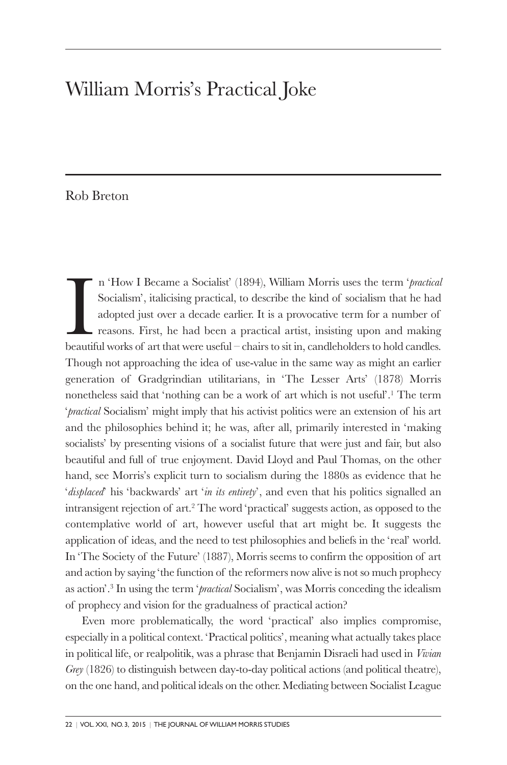## William Morris's Practical Joke

## Rob Breton

In "How I Became a Socialist" (1894), William Morris uses the term "*practica*. Socialism", italicising practical, to describe the kind of socialism that he had adopted just over a decade earlier. It is a provocative term n 'How I Became a Socialist' (1894), William Morris uses the term '*practical* Socialism', italicising practical, to describe the kind of socialism that he had adopted just over a decade earlier. It is a provocative term for a number of reasons. First, he had been a practical artist, insisting upon and making Though not approaching the idea of use-value in the same way as might an earlier generation of Gradgrindian utilitarians, in 'The Lesser Arts' (1878) Morris nonetheless said that 'nothing can be a work of art which is not useful'.1 The term '*practical* Socialism' might imply that his activist politics were an extension of his art and the philosophies behind it; he was, after all, primarily interested in 'making socialists' by presenting visions of a socialist future that were just and fair, but also beautiful and full of true enjoyment. David Lloyd and Paul Thomas, on the other hand, see Morris's explicit turn to socialism during the 1880s as evidence that he '*displaced*' his 'backwards' art '*in its entirety*', and even that his politics signalled an intransigent rejection of art.2 The word 'practical' suggests action, as opposed to the contemplative world of art, however useful that art might be. It suggests the application of ideas, and the need to test philosophies and beliefs in the 'real' world. In 'The Society of the Future' (1887), Morris seems to confirm the opposition of art and action by saying 'the function of the reformers now alive is not so much prophecy as action'.3 In using the term '*practical* Socialism', was Morris conceding the idealism of prophecy and vision for the gradualness of practical action?

Even more problematically, the word 'practical' also implies compromise, especially in a political context. 'Practical politics', meaning what actually takes place in political life, or realpolitik, was a phrase that Benjamin Disraeli had used in *Vivian Grey* (1826) to distinguish between day-to-day political actions (and political theatre), on the one hand, and political ideals on the other. Mediating between Socialist League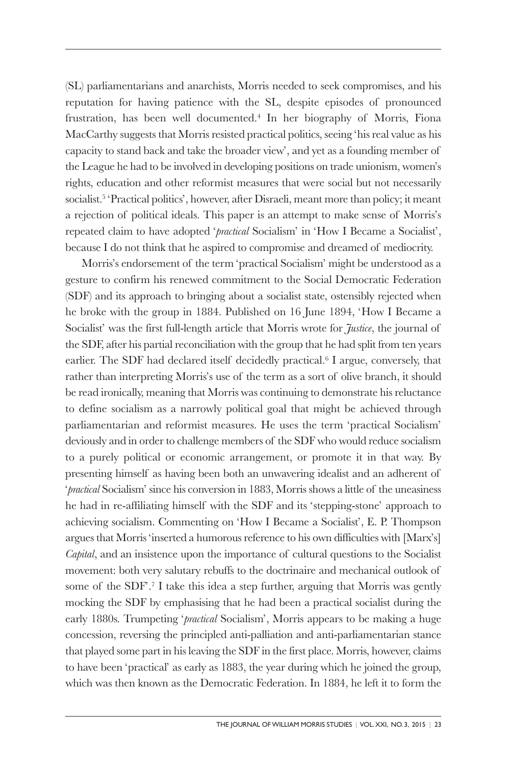(SL) parliamentarians and anarchists, Morris needed to seek compromises, and his reputation for having patience with the SL, despite episodes of pronounced frustration, has been well documented.4 In her biography of Morris, Fiona MacCarthy suggests that Morris resisted practical politics, seeing 'his real value as his capacity to stand back and take the broader view', and yet as a founding member of the League he had to be involved in developing positions on trade unionism, women's rights, education and other reformist measures that were social but not necessarily socialist.<sup>5</sup> 'Practical politics', however, after Disraeli, meant more than policy; it meant a rejection of political ideals. This paper is an attempt to make sense of Morris's repeated claim to have adopted '*practical* Socialism' in 'How I Became a Socialist', because I do not think that he aspired to compromise and dreamed of mediocrity.

Morris's endorsement of the term 'practical Socialism' might be understood as a gesture to confirm his renewed commitment to the Social Democratic Federation (SDF) and its approach to bringing about a socialist state, ostensibly rejected when he broke with the group in 1884. Published on 16 June 1894, 'How I Became a Socialist' was the first full-length article that Morris wrote for *Justice*, the journal of the SDF, after his partial reconciliation with the group that he had split from ten years earlier. The SDF had declared itself decidedly practical.6 I argue, conversely, that rather than interpreting Morris's use of the term as a sort of olive branch, it should be read ironically, meaning that Morris was continuing to demonstrate his reluctance to define socialism as a narrowly political goal that might be achieved through parliamentarian and reformist measures. He uses the term 'practical Socialism' deviously and in order to challenge members of the SDF who would reduce socialism to a purely political or economic arrangement, or promote it in that way. By presenting himself as having been both an unwavering idealist and an adherent of '*practical* Socialism' since his conversion in 1883, Morris shows a little of the uneasiness he had in re-affiliating himself with the SDF and its 'stepping-stone' approach to achieving socialism. Commenting on 'How I Became a Socialist', E. P. Thompson argues that Morris 'inserted a humorous reference to his own difficulties with [Marx's] *Capital*, and an insistence upon the importance of cultural questions to the Socialist movement: both very salutary rebuffs to the doctrinaire and mechanical outlook of some of the SDF'.<sup>7</sup> I take this idea a step further, arguing that Morris was gently mocking the SDF by emphasising that he had been a practical socialist during the early 1880s. Trumpeting '*practical* Socialism', Morris appears to be making a huge concession, reversing the principled anti-palliation and anti-parliamentarian stance that played some part in his leaving the SDF in the first place. Morris, however, claims to have been 'practical' as early as 1883, the year during which he joined the group, which was then known as the Democratic Federation. In 1884, he left it to form the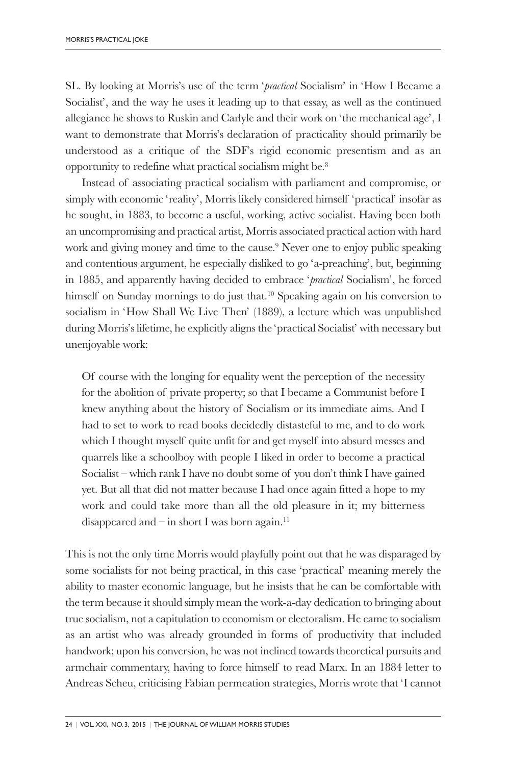SL. By looking at Morris's use of the term '*practical* Socialism' in 'How I Became a Socialist', and the way he uses it leading up to that essay, as well as the continued allegiance he shows to Ruskin and Carlyle and their work on 'the mechanical age', I want to demonstrate that Morris's declaration of practicality should primarily be understood as a critique of the SDF's rigid economic presentism and as an opportunity to redefine what practical socialism might be.8

Instead of associating practical socialism with parliament and compromise, or simply with economic 'reality', Morris likely considered himself 'practical' insofar as he sought, in 1883, to become a useful, working, active socialist. Having been both an uncompromising and practical artist, Morris associated practical action with hard work and giving money and time to the cause.<sup>9</sup> Never one to enjoy public speaking and contentious argument, he especially disliked to go 'a-preaching', but, beginning in 1885, and apparently having decided to embrace '*practical* Socialism', he forced himself on Sunday mornings to do just that.<sup>10</sup> Speaking again on his conversion to socialism in 'How Shall We Live Then' (1889), a lecture which was unpublished during Morris's lifetime, he explicitly aligns the 'practical Socialist' with necessary but unenjoyable work:

Of course with the longing for equality went the perception of the necessity for the abolition of private property; so that I became a Communist before I knew anything about the history of Socialism or its immediate aims. And I had to set to work to read books decidedly distasteful to me, and to do work which I thought myself quite unfit for and get myself into absurd messes and quarrels like a schoolboy with people I liked in order to become a practical Socialist – which rank I have no doubt some of you don't think I have gained yet. But all that did not matter because I had once again fitted a hope to my work and could take more than all the old pleasure in it; my bitterness disappeared and – in short I was born again.<sup>11</sup>

This is not the only time Morris would playfully point out that he was disparaged by some socialists for not being practical, in this case 'practical' meaning merely the ability to master economic language, but he insists that he can be comfortable with the term because it should simply mean the work-a-day dedication to bringing about true socialism, not a capitulation to economism or electoralism. He came to socialism as an artist who was already grounded in forms of productivity that included handwork; upon his conversion, he was not inclined towards theoretical pursuits and armchair commentary, having to force himself to read Marx. In an 1884 letter to Andreas Scheu, criticising Fabian permeation strategies, Morris wrote that 'I cannot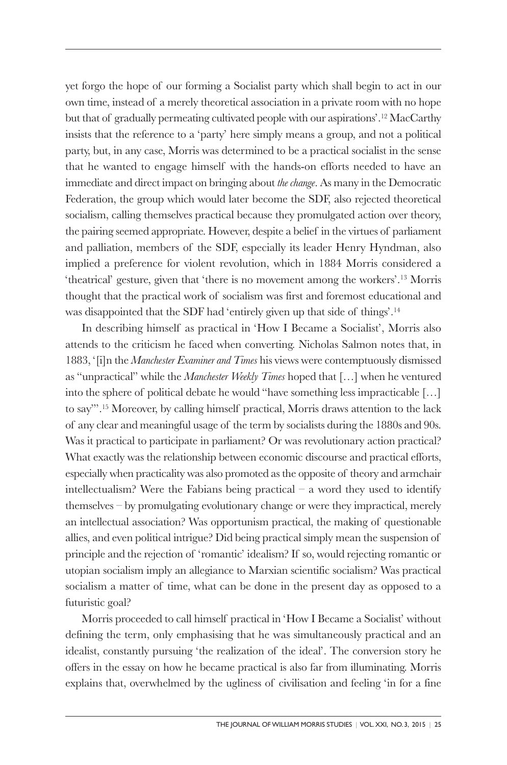yet forgo the hope of our forming a Socialist party which shall begin to act in our own time, instead of a merely theoretical association in a private room with no hope but that of gradually permeating cultivated people with our aspirations'.12 MacCarthy insists that the reference to a 'party' here simply means a group, and not a political party, but, in any case, Morris was determined to be a practical socialist in the sense that he wanted to engage himself with the hands-on efforts needed to have an immediate and direct impact on bringing about *the change*. As many in the Democratic Federation, the group which would later become the SDF, also rejected theoretical socialism, calling themselves practical because they promulgated action over theory, the pairing seemed appropriate. However, despite a belief in the virtues of parliament and palliation, members of the SDF, especially its leader Henry Hyndman, also implied a preference for violent revolution, which in 1884 Morris considered a 'theatrical' gesture, given that 'there is no movement among the workers'.13 Morris thought that the practical work of socialism was first and foremost educational and was disappointed that the SDF had 'entirely given up that side of things'.14

In describing himself as practical in 'How I Became a Socialist', Morris also attends to the criticism he faced when converting. Nicholas Salmon notes that, in 1883, '[i]n the *Manchester Examiner and Times* his views were contemptuously dismissed as "unpractical" while the *Manchester Weekly Times* hoped that […] when he ventured into the sphere of political debate he would "have something less impracticable […] to say"'.15 Moreover, by calling himself practical, Morris draws attention to the lack of any clear and meaningful usage of the term by socialists during the 1880s and 90s. Was it practical to participate in parliament? Or was revolutionary action practical? What exactly was the relationship between economic discourse and practical efforts, especially when practicality was also promoted as the opposite of theory and armchair intellectualism? Were the Fabians being practical  $-$  a word they used to identify themselves – by promulgating evolutionary change or were they impractical, merely an intellectual association? Was opportunism practical, the making of questionable allies, and even political intrigue? Did being practical simply mean the suspension of principle and the rejection of 'romantic' idealism? If so, would rejecting romantic or utopian socialism imply an allegiance to Marxian scientific socialism? Was practical socialism a matter of time, what can be done in the present day as opposed to a futuristic goal?

Morris proceeded to call himself practical in 'How I Became a Socialist' without defining the term, only emphasising that he was simultaneously practical and an idealist, constantly pursuing 'the realization of the ideal'. The conversion story he offers in the essay on how he became practical is also far from illuminating. Morris explains that, overwhelmed by the ugliness of civilisation and feeling 'in for a fine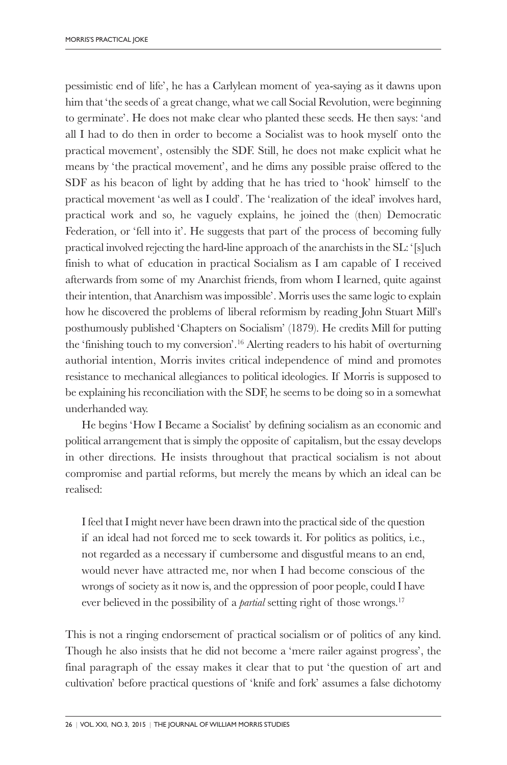pessimistic end of life', he has a Carlylean moment of yea-saying as it dawns upon him that 'the seeds of a great change, what we call Social Revolution, were beginning to germinate'. He does not make clear who planted these seeds. He then says: 'and all I had to do then in order to become a Socialist was to hook myself onto the practical movement', ostensibly the SDF. Still, he does not make explicit what he means by 'the practical movement', and he dims any possible praise offered to the SDF as his beacon of light by adding that he has tried to 'hook' himself to the practical movement 'as well as I could'. The 'realization of the ideal' involves hard, practical work and so, he vaguely explains, he joined the (then) Democratic Federation, or 'fell into it'. He suggests that part of the process of becoming fully practical involved rejecting the hard-line approach of the anarchists in the SL: '[s]uch finish to what of education in practical Socialism as I am capable of I received afterwards from some of my Anarchist friends, from whom I learned, quite against their intention, that Anarchism was impossible'. Morris uses the same logic to explain how he discovered the problems of liberal reformism by reading John Stuart Mill's posthumously published 'Chapters on Socialism' (1879). He credits Mill for putting the 'finishing touch to my conversion'.16 Alerting readers to his habit of overturning authorial intention, Morris invites critical independence of mind and promotes resistance to mechanical allegiances to political ideologies. If Morris is supposed to be explaining his reconciliation with the SDF, he seems to be doing so in a somewhat underhanded way.

He begins 'How I Became a Socialist' by defining socialism as an economic and political arrangement that is simply the opposite of capitalism, but the essay develops in other directions. He insists throughout that practical socialism is not about compromise and partial reforms, but merely the means by which an ideal can be realised:

I feel that I might never have been drawn into the practical side of the question if an ideal had not forced me to seek towards it. For politics as politics, i.e., not regarded as a necessary if cumbersome and disgustful means to an end, would never have attracted me, nor when I had become conscious of the wrongs of society as it now is, and the oppression of poor people, could I have ever believed in the possibility of a *partial* setting right of those wrongs.<sup>17</sup>

This is not a ringing endorsement of practical socialism or of politics of any kind. Though he also insists that he did not become a 'mere railer against progress', the final paragraph of the essay makes it clear that to put 'the question of art and cultivation' before practical questions of 'knife and fork' assumes a false dichotomy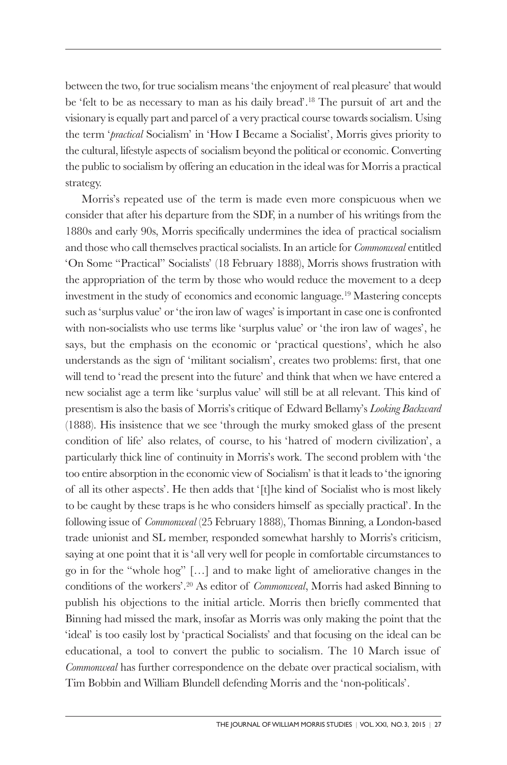between the two, for true socialism means 'the enjoyment of real pleasure' that would be 'felt to be as necessary to man as his daily bread'.18 The pursuit of art and the visionary is equally part and parcel of a very practical course towards socialism. Using the term '*practical* Socialism' in 'How I Became a Socialist', Morris gives priority to the cultural, lifestyle aspects of socialism beyond the political or economic. Converting the public to socialism by offering an education in the ideal was for Morris a practical strategy.

Morris's repeated use of the term is made even more conspicuous when we consider that after his departure from the SDF, in a number of his writings from the 1880s and early 90s, Morris specifically undermines the idea of practical socialism and those who call themselves practical socialists. In an article for *Commonweal* entitled 'On Some "Practical" Socialists' (18 February 1888), Morris shows frustration with the appropriation of the term by those who would reduce the movement to a deep investment in the study of economics and economic language.<sup>19</sup> Mastering concepts such as 'surplus value' or 'the iron law of wages' is important in case one is confronted with non-socialists who use terms like 'surplus value' or 'the iron law of wages', he says, but the emphasis on the economic or 'practical questions', which he also understands as the sign of 'militant socialism', creates two problems: first, that one will tend to 'read the present into the future' and think that when we have entered a new socialist age a term like 'surplus value' will still be at all relevant. This kind of presentism is also the basis of Morris's critique of Edward Bellamy's *Looking Backward* (1888). His insistence that we see 'through the murky smoked glass of the present condition of life' also relates, of course, to his 'hatred of modern civilization', a particularly thick line of continuity in Morris's work. The second problem with 'the too entire absorption in the economic view of Socialism' is that it leads to 'the ignoring of all its other aspects'. He then adds that '[t]he kind of Socialist who is most likely to be caught by these traps is he who considers himself as specially practical'. In the following issue of *Commonweal* (25 February 1888), Thomas Binning, a London-based trade unionist and SL member, responded somewhat harshly to Morris's criticism, saying at one point that it is 'all very well for people in comfortable circumstances to go in for the "whole hog" […] and to make light of ameliorative changes in the conditions of the workers'.20 As editor of *Commonweal*, Morris had asked Binning to publish his objections to the initial article. Morris then briefly commented that Binning had missed the mark, insofar as Morris was only making the point that the 'ideal' is too easily lost by 'practical Socialists' and that focusing on the ideal can be educational, a tool to convert the public to socialism. The 10 March issue of *Commonweal* has further correspondence on the debate over practical socialism, with Tim Bobbin and William Blundell defending Morris and the 'non-politicals'.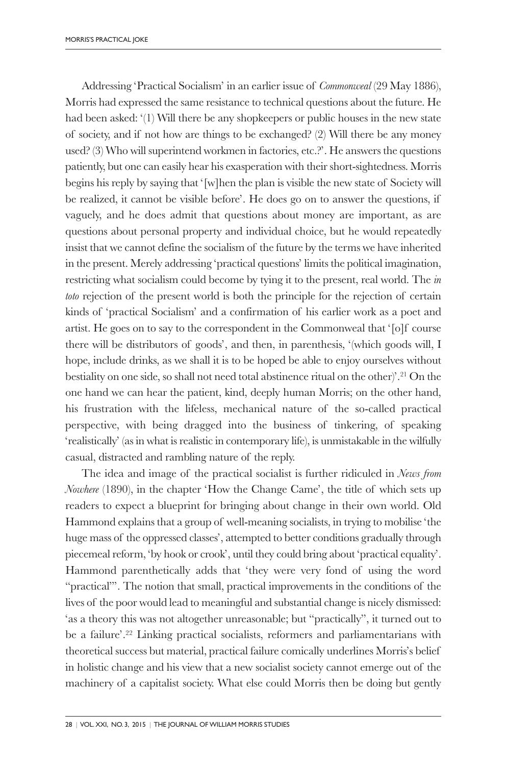Addressing 'Practical Socialism' in an earlier issue of *Commonweal* (29 May 1886), Morris had expressed the same resistance to technical questions about the future. He had been asked: '(1) Will there be any shopkeepers or public houses in the new state of society, and if not how are things to be exchanged? (2) Will there be any money used? (3) Who will superintend workmen in factories, etc.?'. He answers the questions patiently, but one can easily hear his exasperation with their short-sightedness. Morris begins his reply by saying that '[w]hen the plan is visible the new state of Society will be realized, it cannot be visible before'. He does go on to answer the questions, if vaguely, and he does admit that questions about money are important, as are questions about personal property and individual choice, but he would repeatedly insist that we cannot define the socialism of the future by the terms we have inherited in the present. Merely addressing 'practical questions' limits the political imagination, restricting what socialism could become by tying it to the present, real world. The *in toto* rejection of the present world is both the principle for the rejection of certain kinds of 'practical Socialism' and a confirmation of his earlier work as a poet and artist. He goes on to say to the correspondent in the Commonweal that '[o]f course there will be distributors of goods', and then, in parenthesis, '(which goods will, I hope, include drinks, as we shall it is to be hoped be able to enjoy ourselves without bestiality on one side, so shall not need total abstinence ritual on the other)'.21 On the one hand we can hear the patient, kind, deeply human Morris; on the other hand, his frustration with the lifeless, mechanical nature of the so-called practical perspective, with being dragged into the business of tinkering, of speaking 'realistically' (as in what is realistic in contemporary life), is unmistakable in the wilfully casual, distracted and rambling nature of the reply.

The idea and image of the practical socialist is further ridiculed in *News from Nowhere* (1890), in the chapter 'How the Change Came', the title of which sets up readers to expect a blueprint for bringing about change in their own world. Old Hammond explains that a group of well-meaning socialists, in trying to mobilise 'the huge mass of the oppressed classes', attempted to better conditions gradually through piecemeal reform, 'by hook or crook', until they could bring about 'practical equality'. Hammond parenthetically adds that 'they were very fond of using the word "practical"'. The notion that small, practical improvements in the conditions of the lives of the poor would lead to meaningful and substantial change is nicely dismissed: 'as a theory this was not altogether unreasonable; but "practically", it turned out to be a failure'.22 Linking practical socialists, reformers and parliamentarians with theoretical success but material, practical failure comically underlines Morris's belief in holistic change and his view that a new socialist society cannot emerge out of the machinery of a capitalist society. What else could Morris then be doing but gently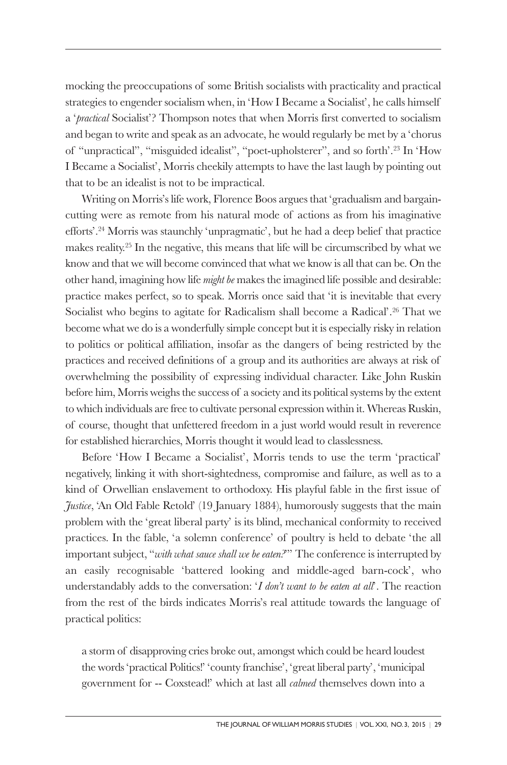mocking the preoccupations of some British socialists with practicality and practical strategies to engender socialism when, in 'How I Became a Socialist', he calls himself a '*practical* Socialist'? Thompson notes that when Morris first converted to socialism and began to write and speak as an advocate, he would regularly be met by a 'chorus of "unpractical", "misguided idealist", "poet-upholsterer", and so forth'.23 In 'How I Became a Socialist', Morris cheekily attempts to have the last laugh by pointing out that to be an idealist is not to be impractical.

Writing on Morris's life work, Florence Boos argues that 'gradualism and bargaincutting were as remote from his natural mode of actions as from his imaginative efforts'.24 Morris was staunchly 'unpragmatic', but he had a deep belief that practice makes reality.25 In the negative, this means that life will be circumscribed by what we know and that we will become convinced that what we know is all that can be. On the other hand, imagining how life *might be* makes the imagined life possible and desirable: practice makes perfect, so to speak. Morris once said that 'it is inevitable that every Socialist who begins to agitate for Radicalism shall become a Radical'.<sup>26</sup> That we become what we do is a wonderfully simple concept but it is especially risky in relation to politics or political affiliation, insofar as the dangers of being restricted by the practices and received definitions of a group and its authorities are always at risk of overwhelming the possibility of expressing individual character. Like John Ruskin before him, Morris weighs the success of a society and its political systems by the extent to which individuals are free to cultivate personal expression within it. Whereas Ruskin, of course, thought that unfettered freedom in a just world would result in reverence for established hierarchies, Morris thought it would lead to classlessness.

Before 'How I Became a Socialist', Morris tends to use the term 'practical' negatively, linking it with short-sightedness, compromise and failure, as well as to a kind of Orwellian enslavement to orthodoxy. His playful fable in the first issue of *Justice*, 'An Old Fable Retold' (19 January 1884), humorously suggests that the main problem with the 'great liberal party' is its blind, mechanical conformity to received practices. In the fable, 'a solemn conference' of poultry is held to debate 'the all important subject, "*with what sauce shall we be eaten?*"' The conference is interrupted by an easily recognisable 'battered looking and middle-aged barn-cock', who understandably adds to the conversation: '*I don't want to be eaten at all*'. The reaction from the rest of the birds indicates Morris's real attitude towards the language of practical politics:

a storm of disapproving cries broke out, amongst which could be heard loudest the words 'practical Politics!' 'county franchise', 'great liberal party', 'municipal government for -- Coxstead!' which at last all *calmed* themselves down into a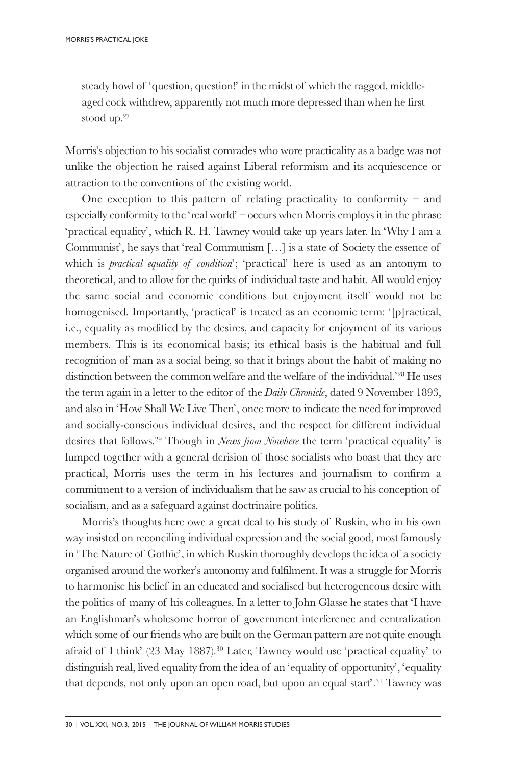steady howl of 'question, question!' in the midst of which the ragged, middleaged cock withdrew, apparently not much more depressed than when he first stood up.27

Morris's objection to his socialist comrades who wore practicality as a badge was not unlike the objection he raised against Liberal reformism and its acquiescence or attraction to the conventions of the existing world.

One exception to this pattern of relating practicality to conformity – and especially conformity to the 'real world' – occurs when Morris employs it in the phrase 'practical equality', which R. H. Tawney would take up years later. In 'Why I am a Communist', he says that 'real Communism […] is a state of Society the essence of which is *practical equality of condition*'; 'practical' here is used as an antonym to theoretical, and to allow for the quirks of individual taste and habit. All would enjoy the same social and economic conditions but enjoyment itself would not be homogenised. Importantly, 'practical' is treated as an economic term: '[p]ractical, i.e., equality as modified by the desires, and capacity for enjoyment of its various members. This is its economical basis; its ethical basis is the habitual and full recognition of man as a social being, so that it brings about the habit of making no distinction between the common welfare and the welfare of the individual.'28 He uses the term again in a letter to the editor of the *Daily Chronicle*, dated 9 November 1893, and also in 'How Shall We Live Then', once more to indicate the need for improved and socially-conscious individual desires, and the respect for different individual desires that follows.29 Though in *News from Nowhere* the term 'practical equality' is lumped together with a general derision of those socialists who boast that they are practical, Morris uses the term in his lectures and journalism to confirm a commitment to a version of individualism that he saw as crucial to his conception of socialism, and as a safeguard against doctrinaire politics.

Morris's thoughts here owe a great deal to his study of Ruskin, who in his own way insisted on reconciling individual expression and the social good, most famously in 'The Nature of Gothic', in which Ruskin thoroughly develops the idea of a society organised around the worker's autonomy and fulfilment. It was a struggle for Morris to harmonise his belief in an educated and socialised but heterogeneous desire with the politics of many of his colleagues. In a letter to John Glasse he states that 'I have an Englishman's wholesome horror of government interference and centralization which some of our friends who are built on the German pattern are not quite enough afraid of I think'  $(23 \text{ May } 1887)$ <sup>30</sup> Later, Tawney would use 'practical equality' to distinguish real, lived equality from the idea of an 'equality of opportunity', 'equality that depends, not only upon an open road, but upon an equal start<sup>'</sup>.<sup>31</sup> Tawney was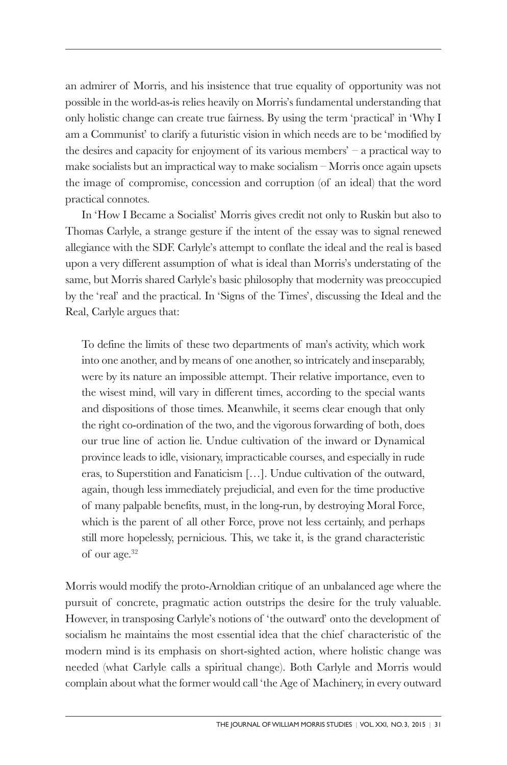an admirer of Morris, and his insistence that true equality of opportunity was not possible in the world-as-is relies heavily on Morris's fundamental understanding that only holistic change can create true fairness. By using the term 'practical' in 'Why I am a Communist' to clarify a futuristic vision in which needs are to be 'modified by the desires and capacity for enjoyment of its various members' – a practical way to make socialists but an impractical way to make socialism – Morris once again upsets the image of compromise, concession and corruption (of an ideal) that the word practical connotes.

In 'How I Became a Socialist' Morris gives credit not only to Ruskin but also to Thomas Carlyle, a strange gesture if the intent of the essay was to signal renewed allegiance with the SDF. Carlyle's attempt to conflate the ideal and the real is based upon a very different assumption of what is ideal than Morris's understating of the same, but Morris shared Carlyle's basic philosophy that modernity was preoccupied by the 'real' and the practical. In 'Signs of the Times', discussing the Ideal and the Real, Carlyle argues that:

To define the limits of these two departments of man's activity, which work into one another, and by means of one another, so intricately and inseparably, were by its nature an impossible attempt. Their relative importance, even to the wisest mind, will vary in different times, according to the special wants and dispositions of those times. Meanwhile, it seems clear enough that only the right co-ordination of the two, and the vigorous forwarding of both, does our true line of action lie. Undue cultivation of the inward or Dynamical province leads to idle, visionary, impracticable courses, and especially in rude eras, to Superstition and Fanaticism […]. Undue cultivation of the outward, again, though less immediately prejudicial, and even for the time productive of many palpable benefits, must, in the long-run, by destroying Moral Force, which is the parent of all other Force, prove not less certainly, and perhaps still more hopelessly, pernicious. This, we take it, is the grand characteristic of our age.32

Morris would modify the proto-Arnoldian critique of an unbalanced age where the pursuit of concrete, pragmatic action outstrips the desire for the truly valuable. However, in transposing Carlyle's notions of 'the outward' onto the development of socialism he maintains the most essential idea that the chief characteristic of the modern mind is its emphasis on short-sighted action, where holistic change was needed (what Carlyle calls a spiritual change). Both Carlyle and Morris would complain about what the former would call 'the Age of Machinery, in every outward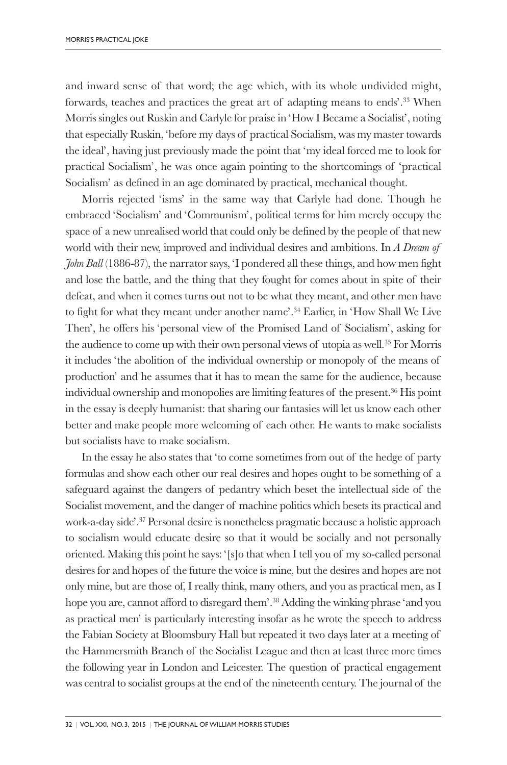and inward sense of that word; the age which, with its whole undivided might, forwards, teaches and practices the great art of adapting means to ends'.33 When Morris singles out Ruskin and Carlyle for praise in 'How I Became a Socialist', noting that especially Ruskin, 'before my days of practical Socialism, was my master towards the ideal', having just previously made the point that 'my ideal forced me to look for practical Socialism', he was once again pointing to the shortcomings of 'practical Socialism' as defined in an age dominated by practical, mechanical thought.

Morris rejected 'isms' in the same way that Carlyle had done. Though he embraced 'Socialism' and 'Communism', political terms for him merely occupy the space of a new unrealised world that could only be defined by the people of that new world with their new, improved and individual desires and ambitions. In *A Dream of John Ball* (1886-87), the narrator says, 'I pondered all these things, and how men fight and lose the battle, and the thing that they fought for comes about in spite of their defeat, and when it comes turns out not to be what they meant, and other men have to fight for what they meant under another name'.34 Earlier, in 'How Shall We Live Then', he offers his 'personal view of the Promised Land of Socialism', asking for the audience to come up with their own personal views of utopia as well.35 For Morris it includes 'the abolition of the individual ownership or monopoly of the means of production' and he assumes that it has to mean the same for the audience, because individual ownership and monopolies are limiting features of the present.36 His point in the essay is deeply humanist: that sharing our fantasies will let us know each other better and make people more welcoming of each other. He wants to make socialists but socialists have to make socialism.

In the essay he also states that 'to come sometimes from out of the hedge of party formulas and show each other our real desires and hopes ought to be something of a safeguard against the dangers of pedantry which beset the intellectual side of the Socialist movement, and the danger of machine politics which besets its practical and work-a-day side'.37 Personal desire is nonetheless pragmatic because a holistic approach to socialism would educate desire so that it would be socially and not personally oriented. Making this point he says: '[s]o that when I tell you of my so-called personal desires for and hopes of the future the voice is mine, but the desires and hopes are not only mine, but are those of, I really think, many others, and you as practical men, as I hope you are, cannot afford to disregard them'.<sup>38</sup> Adding the winking phrase 'and you as practical men' is particularly interesting insofar as he wrote the speech to address the Fabian Society at Bloomsbury Hall but repeated it two days later at a meeting of the Hammersmith Branch of the Socialist League and then at least three more times the following year in London and Leicester. The question of practical engagement was central to socialist groups at the end of the nineteenth century. The journal of the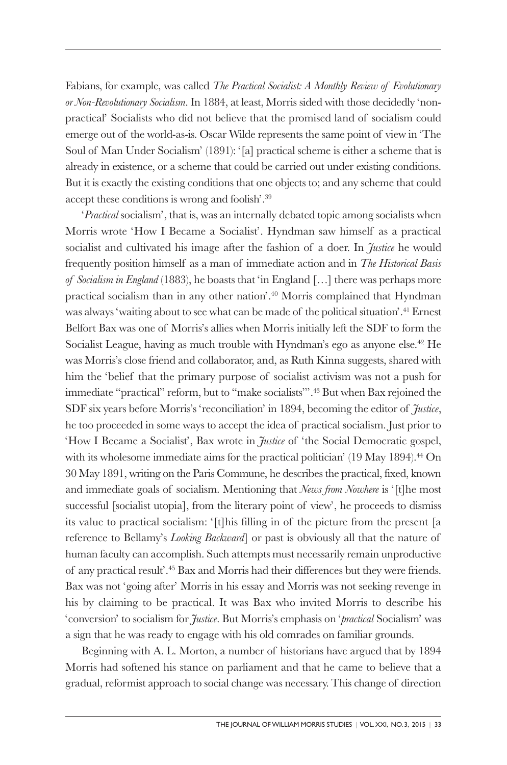Fabians, for example, was called *The Practical Socialist: A Monthly Review of Evolutionary or Non-Revolutionary Socialism*. In 1884, at least, Morris sided with those decidedly 'nonpractical' Socialists who did not believe that the promised land of socialism could emerge out of the world-as-is. Oscar Wilde represents the same point of view in 'The Soul of Man Under Socialism' (1891): '[a] practical scheme is either a scheme that is already in existence, or a scheme that could be carried out under existing conditions. But it is exactly the existing conditions that one objects to; and any scheme that could accept these conditions is wrong and foolish'.39

'*Practical* socialism', that is, was an internally debated topic among socialists when Morris wrote 'How I Became a Socialist'. Hyndman saw himself as a practical socialist and cultivated his image after the fashion of a doer. In *Justice* he would frequently position himself as a man of immediate action and in *The Historical Basis of Socialism in England* (1883), he boasts that 'in England […] there was perhaps more practical socialism than in any other nation'.40 Morris complained that Hyndman was always 'waiting about to see what can be made of the political situation'.41 Ernest Belfort Bax was one of Morris's allies when Morris initially left the SDF to form the Socialist League, having as much trouble with Hyndman's ego as anyone else.<sup>42</sup> He was Morris's close friend and collaborator, and, as Ruth Kinna suggests, shared with him the 'belief that the primary purpose of socialist activism was not a push for immediate "practical" reform, but to "make socialists"'.43 But when Bax rejoined the SDF six years before Morris's 'reconciliation' in 1894, becoming the editor of *Justice*, he too proceeded in some ways to accept the idea of practical socialism. Just prior to 'How I Became a Socialist', Bax wrote in *Justice* of 'the Social Democratic gospel, with its wholesome immediate aims for the practical politician'  $(19 \text{ May } 1894)$ .<sup>44</sup> On 30 May 1891, writing on the Paris Commune, he describes the practical, fixed, known and immediate goals of socialism. Mentioning that *News from Nowhere* is '[t]he most successful [socialist utopia], from the literary point of view', he proceeds to dismiss its value to practical socialism: '[t]his filling in of the picture from the present [a reference to Bellamy's *Looking Backward*] or past is obviously all that the nature of human faculty can accomplish. Such attempts must necessarily remain unproductive of any practical result'.45 Bax and Morris had their differences but they were friends. Bax was not 'going after' Morris in his essay and Morris was not seeking revenge in his by claiming to be practical. It was Bax who invited Morris to describe his 'conversion' to socialism for *Justice*. But Morris's emphasis on '*practical* Socialism' was a sign that he was ready to engage with his old comrades on familiar grounds.

Beginning with A. L. Morton, a number of historians have argued that by 1894 Morris had softened his stance on parliament and that he came to believe that a gradual, reformist approach to social change was necessary. This change of direction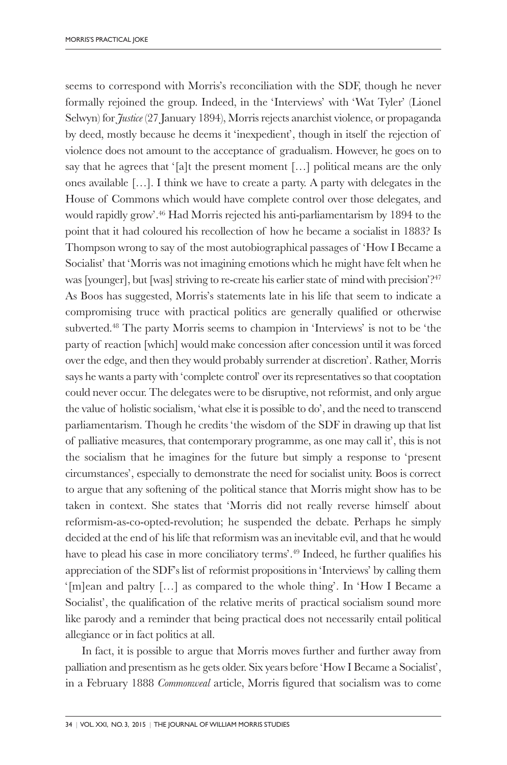seems to correspond with Morris's reconciliation with the SDF, though he never formally rejoined the group. Indeed, in the 'Interviews' with 'Wat Tyler' (Lionel Selwyn) for *Justice* (27 January 1894), Morris rejects anarchist violence, or propaganda by deed, mostly because he deems it 'inexpedient', though in itself the rejection of violence does not amount to the acceptance of gradualism. However, he goes on to say that he agrees that '[a]t the present moment  $[\ldots]$  political means are the only ones available […]. I think we have to create a party. A party with delegates in the House of Commons which would have complete control over those delegates, and would rapidly grow'.46 Had Morris rejected his anti-parliamentarism by 1894 to the point that it had coloured his recollection of how he became a socialist in 1883? Is Thompson wrong to say of the most autobiographical passages of 'How I Became a Socialist' that 'Morris was not imagining emotions which he might have felt when he was [younger], but [was] striving to re-create his earlier state of mind with precision'?47 As Boos has suggested, Morris's statements late in his life that seem to indicate a compromising truce with practical politics are generally qualified or otherwise subverted.48 The party Morris seems to champion in 'Interviews' is not to be 'the party of reaction [which] would make concession after concession until it was forced over the edge, and then they would probably surrender at discretion'. Rather, Morris says he wants a party with 'complete control' over its representatives so that cooptation could never occur. The delegates were to be disruptive, not reformist, and only argue the value of holistic socialism, 'what else it is possible to do', and the need to transcend parliamentarism. Though he credits 'the wisdom of the SDF in drawing up that list of palliative measures, that contemporary programme, as one may call it', this is not the socialism that he imagines for the future but simply a response to 'present circumstances', especially to demonstrate the need for socialist unity. Boos is correct to argue that any softening of the political stance that Morris might show has to be taken in context. She states that 'Morris did not really reverse himself about reformism-as-co-opted-revolution; he suspended the debate. Perhaps he simply decided at the end of his life that reformism was an inevitable evil, and that he would have to plead his case in more conciliatory terms'.<sup>49</sup> Indeed, he further qualifies his appreciation of the SDF's list of reformist propositions in 'Interviews' by calling them '[m]ean and paltry […] as compared to the whole thing'. In 'How I Became a Socialist', the qualification of the relative merits of practical socialism sound more like parody and a reminder that being practical does not necessarily entail political allegiance or in fact politics at all.

In fact, it is possible to argue that Morris moves further and further away from palliation and presentism as he gets older. Six years before 'How I Became a Socialist', in a February 1888 *Commonweal* article, Morris figured that socialism was to come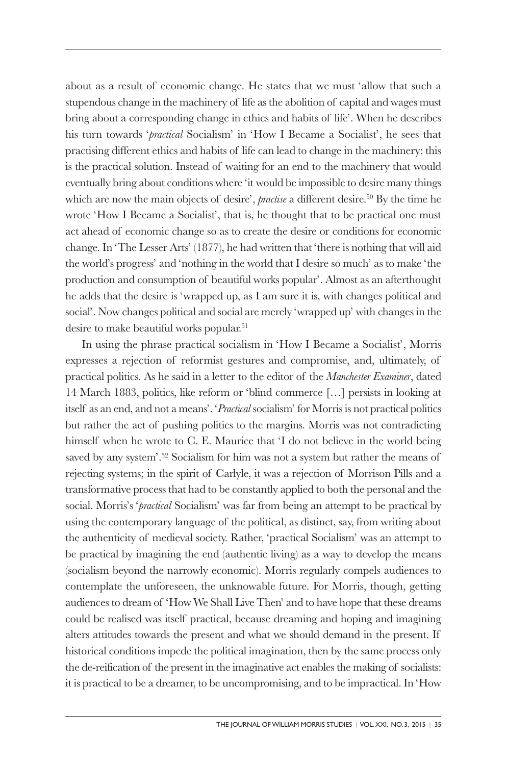about as a result of economic change. He states that we must 'allow that such a stupendous change in the machinery of life as the abolition of capital and wages must bring about a corresponding change in ethics and habits of life'. When he describes his turn towards '*practical* Socialism' in 'How I Became a Socialist', he sees that practising different ethics and habits of life can lead to change in the machinery: this is the practical solution. Instead of waiting for an end to the machinery that would eventually bring about conditions where 'it would be impossible to desire many things which are now the main objects of desire', *practise* a different desire.<sup>50</sup> By the time he wrote 'How I Became a Socialist', that is, he thought that to be practical one must act ahead of economic change so as to create the desire or conditions for economic change. In 'The Lesser Arts' (1877), he had written that 'there is nothing that will aid the world's progress' and 'nothing in the world that I desire so much' as to make 'the production and consumption of beautiful works popular'. Almost as an afterthought he adds that the desire is 'wrapped up, as I am sure it is, with changes political and social'. Now changes political and social are merely 'wrapped up' with changes in the desire to make beautiful works popular.<sup>51</sup>

In using the phrase practical socialism in 'How I Became a Socialist', Morris expresses a rejection of reformist gestures and compromise, and, ultimately, of practical politics. As he said in a letter to the editor of the *Manchester Examiner*, dated 14 March 1883, politics, like reform or 'blind commerce […] persists in looking at itself as an end, and not a means'. '*Practical* socialism' for Morris is not practical politics but rather the act of pushing politics to the margins. Morris was not contradicting himself when he wrote to C. E. Maurice that 'I do not believe in the world being saved by any system'.52 Socialism for him was not a system but rather the means of rejecting systems; in the spirit of Carlyle, it was a rejection of Morrison Pills and a transformative process that had to be constantly applied to both the personal and the social. Morris's '*practical* Socialism' was far from being an attempt to be practical by using the contemporary language of the political, as distinct, say, from writing about the authenticity of medieval society. Rather, 'practical Socialism' was an attempt to be practical by imagining the end (authentic living) as a way to develop the means (socialism beyond the narrowly economic). Morris regularly compels audiences to contemplate the unforeseen, the unknowable future. For Morris, though, getting audiences to dream of 'How We Shall Live Then' and to have hope that these dreams could be realised was itself practical, because dreaming and hoping and imagining alters attitudes towards the present and what we should demand in the present. If historical conditions impede the political imagination, then by the same process only the de-reification of the present in the imaginative act enables the making of socialists: it is practical to be a dreamer, to be uncompromising, and to be impractical. In 'How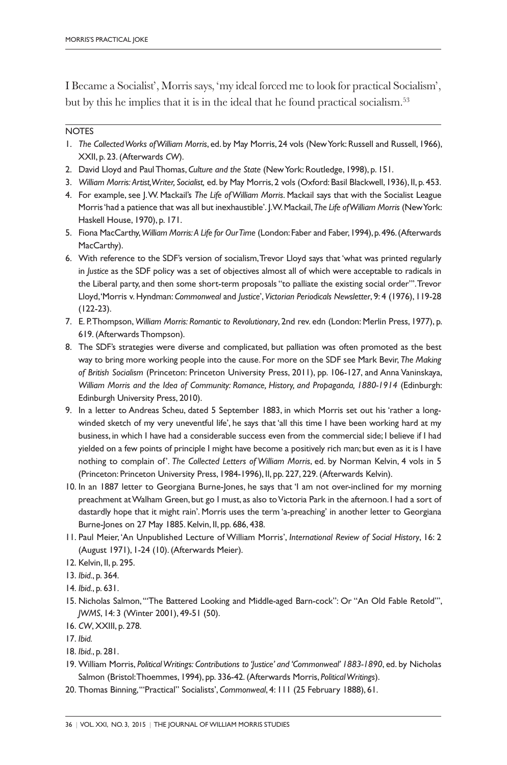I Became a Socialist', Morris says, 'my ideal forced me to look for practical Socialism', but by this he implies that it is in the ideal that he found practical socialism.53

## **NOTES**

- 1. *The Collected Works of William Morris*, ed. by May Morris, 24 vols (New York: Russell and Russell, 1966), XXII, p. 23. (Afterwards *CW*).
- 2. David Lloyd and Paul Thomas, *Culture and the State* (New York: Routledge, 1998), p. 151.
- 3. *William Morris: Artist, Writer, Socialist,* ed. by May Morris, 2 vols (Oxford: Basil Blackwell, 1936), II, p. 453.
- 4. For example, see J. W. Mackail's *The Life of William Morris*. Mackail says that with the Socialist League Morris 'had a patience that was all but inexhaustible'. J. W. Mackail, *The Life of William Morris* (New York: Haskell House, 1970), p. 171.
- 5. Fiona MacCarthy, *William Morris:A Life for Our Time* (London: Faber and Faber, 1994), p. 496. (Afterwards MacCarthy).
- 6. With reference to the SDF's version of socialism, Trevor Lloyd says that 'what was printed regularly in *Justice* as the SDF policy was a set of objectives almost all of which were acceptable to radicals in the Liberal party, and then some short-term proposals "to palliate the existing social order"'. Trevor Lloyd, 'Morris v. Hyndman: *Commonweal* and *Justice*', *Victorian Periodicals Newsletter*, 9: 4 (1976), 119-28 (122-23).
- 7. E. P. Thompson, *William Morris: Romantic to Revolutionary*, 2nd rev. edn (London: Merlin Press, 1977), p. 619. (Afterwards Thompson).
- 8. The SDF's strategies were diverse and complicated, but palliation was often promoted as the best way to bring more working people into the cause. For more on the SDF see Mark Bevir, *The Making of British Socialism* (Princeton: Princeton University Press, 2011), pp. 106-127, and Anna Vaninskaya, *William Morris and the Idea of Community: Romance, History, and Propaganda, 1880-1914* (Edinburgh: Edinburgh University Press, 2010).
- 9. In a letter to Andreas Scheu, dated 5 September 1883, in which Morris set out his 'rather a longwinded sketch of my very uneventful life', he says that 'all this time I have been working hard at my business, in which I have had a considerable success even from the commercial side; I believe if I had yielded on a few points of principle I might have become a positively rich man; but even as it is I have nothing to complain of'. *The Collected Letters of William Morris*, ed. by Norman Kelvin, 4 vols in 5 (Princeton: Princeton University Press, 1984-1996), II, pp. 227, 229. (Afterwards Kelvin).
- 10. In an 1887 letter to Georgiana Burne-Jones, he says that 'I am not over-inclined for my morning preachment at Walham Green, but go I must, as also to Victoria Park in the afternoon. I had a sort of dastardly hope that it might rain'. Morris uses the term 'a-preaching' in another letter to Georgiana Burne-Jones on 27 May 1885. Kelvin, II, pp. 686, 438.
- 11. Paul Meier, 'An Unpublished Lecture of William Morris', *International Review of Social History*, 16: 2 (August 1971), 1-24 (10). (Afterwards Meier).
- 12. Kelvin, II, p. 295.
- 13. *Ibid.*, p. 364.
- 14. *Ibid.*, p. 631.
- 15. Nicholas Salmon, '"The Battered Looking and Middle-aged Barn-cock": Or "An Old Fable Retold"', *JWMS*, 14: 3 (Winter 2001), 49-51 (50).
- 16. *CW*, XXIII, p. 278.
- 17. *Ibid.*
- 18. *Ibid.*, p. 281.
- 19. William Morris, *Political Writings: Contributions to 'Justice' and 'Commonweal' 1883-1890*, ed. by Nicholas Salmon (Bristol: Thoemmes, 1994), pp. 336-42. (Afterwards Morris, *Political Writings*).
- 20. Thomas Binning, '"Practical" Socialists', *Commonweal*, 4: 111 (25 February 1888), 61.